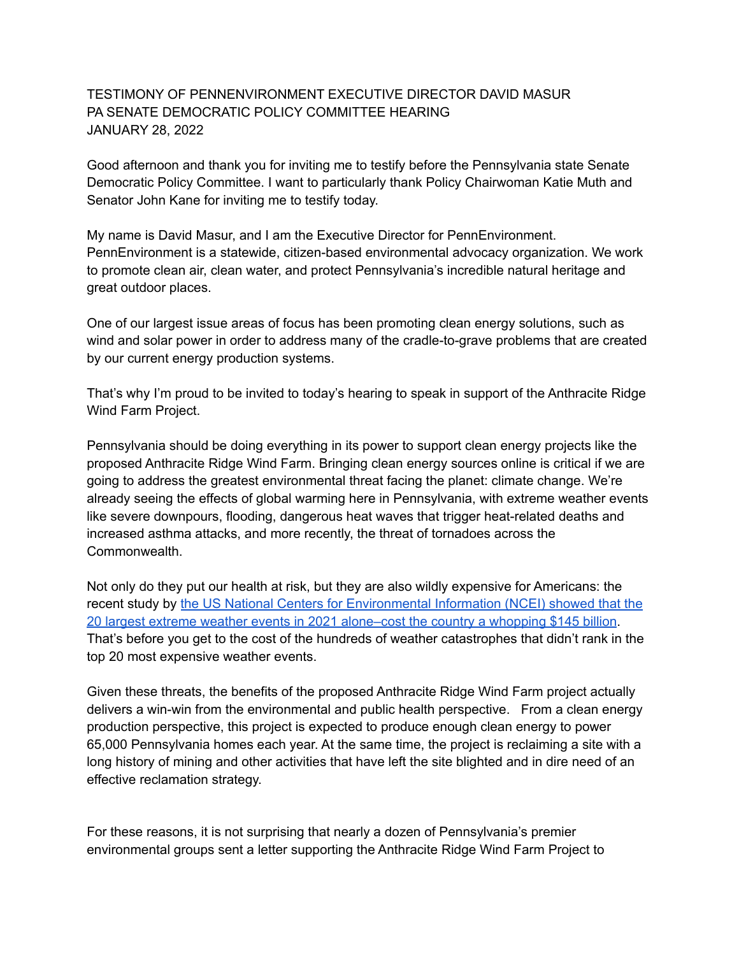## TESTIMONY OF PENNENVIRONMENT EXECUTIVE DIRECTOR DAVID MASUR PA SENATE DEMOCRATIC POLICY COMMITTEE HEARING JANUARY 28, 2022

Good afternoon and thank you for inviting me to testify before the Pennsylvania state Senate Democratic Policy Committee. I want to particularly thank Policy Chairwoman Katie Muth and Senator John Kane for inviting me to testify today.

My name is David Masur, and I am the Executive Director for PennEnvironment. PennEnvironment is a statewide, citizen-based environmental advocacy organization. We work to promote clean air, clean water, and protect Pennsylvania's incredible natural heritage and great outdoor places.

One of our largest issue areas of focus has been promoting clean energy solutions, such as wind and solar power in order to address many of the cradle-to-grave problems that are created by our current energy production systems.

That's why I'm proud to be invited to today's hearing to speak in support of the Anthracite Ridge Wind Farm Project.

Pennsylvania should be doing everything in its power to support clean energy projects like the proposed Anthracite Ridge Wind Farm. Bringing clean energy sources online is critical if we are going to address the greatest environmental threat facing the planet: climate change. We're already seeing the effects of global warming here in Pennsylvania, with extreme weather events like severe downpours, flooding, dangerous heat waves that trigger heat-related deaths and increased asthma attacks, and more recently, the threat of tornadoes across the Commonwealth.

Not only do they put our health at risk, but they are also wildly expensive for Americans: the recent study by the US National Centers for [Environmental](https://www.business-standard.com/article/international/extreme-weather-events-collectively-cost-us-145-billion-in-2021-report-122011200057_1.html#:~:text=Extreme%20weather%20events%20collectively%20cost%20US%20%24145%20billion%20in%202021%3A%20Report,-IANS%20%7C%20New%20York&text=A%20total%20of%2020%20weather,country%20at%20least%20%24145%20billion.) Information (NCEI) showed that the 20 largest extreme weather events in 2021 [alone–cost](https://www.business-standard.com/article/international/extreme-weather-events-collectively-cost-us-145-billion-in-2021-report-122011200057_1.html#:~:text=Extreme%20weather%20events%20collectively%20cost%20US%20%24145%20billion%20in%202021%3A%20Report,-IANS%20%7C%20New%20York&text=A%20total%20of%2020%20weather,country%20at%20least%20%24145%20billion.) the country a whopping \$145 billion. That's before you get to the cost of the hundreds of weather catastrophes that didn't rank in the top 20 most expensive weather events.

Given these threats, the benefits of the proposed Anthracite Ridge Wind Farm project actually delivers a win-win from the environmental and public health perspective. From a clean energy production perspective, this project is expected to produce enough clean energy to power 65,000 Pennsylvania homes each year. At the same time, the project is reclaiming a site with a long history of mining and other activities that have left the site blighted and in dire need of an effective reclamation strategy.

For these reasons, it is not surprising that nearly a dozen of Pennsylvania's premier environmental groups sent a letter supporting the Anthracite Ridge Wind Farm Project to